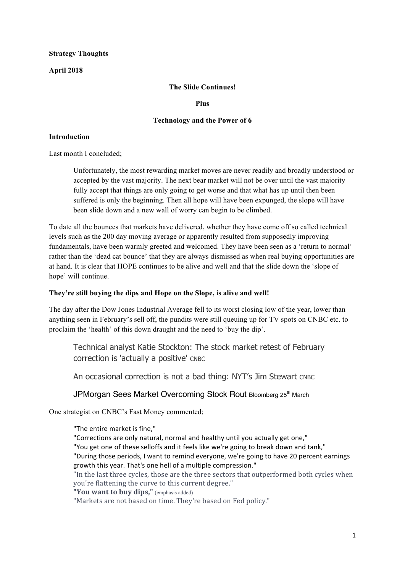### **Strategy Thoughts**

### **April 2018**

### **The Slide Continues!**

#### **Plus**

#### **Technology and the Power of 6**

#### **Introduction**

Last month I concluded;

Unfortunately, the most rewarding market moves are never readily and broadly understood or accepted by the vast majority. The next bear market will not be over until the vast majority fully accept that things are only going to get worse and that what has up until then been suffered is only the beginning. Then all hope will have been expunged, the slope will have been slide down and a new wall of worry can begin to be climbed.

To date all the bounces that markets have delivered, whether they have come off so called technical levels such as the 200 day moving average or apparently resulted from supposedly improving fundamentals, have been warmly greeted and welcomed. They have been seen as a 'return to normal' rather than the 'dead cat bounce' that they are always dismissed as when real buying opportunities are at hand. It is clear that HOPE continues to be alive and well and that the slide down the 'slope of hope' will continue.

### **They're still buying the dips and Hope on the Slope, is alive and well!**

The day after the Dow Jones Industrial Average fell to its worst closing low of the year, lower than anything seen in February's sell off, the pundits were still queuing up for TV spots on CNBC etc. to proclaim the 'health' of this down draught and the need to 'buy the dip'.

Technical analyst Katie Stockton: The stock market retest of February correction is 'actually a positive' CNBC

An occasional correction is not a bad thing: NYT's Jim Stewart CNBC

### JPMorgan Sees Market Overcoming Stock Rout Bloomberg 25<sup>th</sup> March

One strategist on CNBC's Fast Money commented;

"The entire market is fine."

"Corrections are only natural, normal and healthy until you actually get one," "You get one of these selloffs and it feels like we're going to break down and tank," "During those periods, I want to remind everyone, we're going to have 20 percent earnings growth this year. That's one hell of a multiple compression."

"In the last three cycles, those are the three sectors that outperformed both cycles when you're flattening the curve to this current degree."

"You want to buy dips," (emphasis added)

"Markets are not based on time. They're based on Fed policy."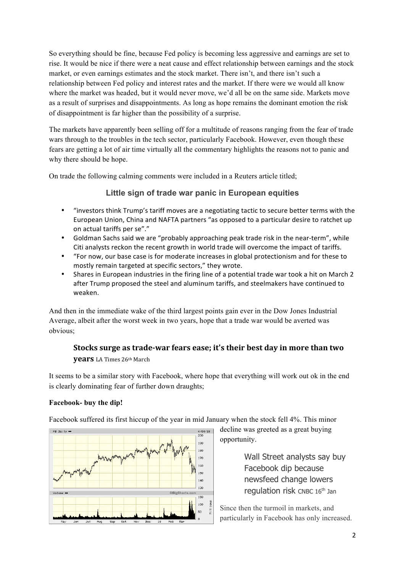So everything should be fine, because Fed policy is becoming less aggressive and earnings are set to rise. It would be nice if there were a neat cause and effect relationship between earnings and the stock market, or even earnings estimates and the stock market. There isn't, and there isn't such a relationship between Fed policy and interest rates and the market. If there were we would all know where the market was headed, but it would never move, we'd all be on the same side. Markets move as a result of surprises and disappointments. As long as hope remains the dominant emotion the risk of disappointment is far higher than the possibility of a surprise.

The markets have apparently been selling off for a multitude of reasons ranging from the fear of trade wars through to the troubles in the tech sector, particularly Facebook. However, even though these fears are getting a lot of air time virtually all the commentary highlights the reasons not to panic and why there should be hope.

On trade the following calming comments were included in a Reuters article titled;

### **Little sign of trade war panic in European equities**

- "investors think Trump's tariff moves are a negotiating tactic to secure better terms with the European Union, China and NAFTA partners "as opposed to a particular desire to ratchet up on actual tariffs per se"."
- Goldman Sachs said we are "probably approaching peak trade risk in the near-term", while Citi analysts reckon the recent growth in world trade will overcome the impact of tariffs.
- "For now, our base case is for moderate increases in global protectionism and for these to mostly remain targeted at specific sectors," they wrote.
- Shares in European industries in the firing line of a potential trade war took a hit on March 2 after Trump proposed the steel and aluminum tariffs, and steelmakers have continued to weaken.

And then in the immediate wake of the third largest points gain ever in the Dow Jones Industrial Average, albeit after the worst week in two years, hope that a trade war would be averted was obvious;

## **Stocks surge as trade-war fears ease; it's their best day in more than two**

#### **years** LA Times 26th March

It seems to be a similar story with Facebook, where hope that everything will work out ok in the end is clearly dominating fear of further down draughts;

### **Facebook- buy the dip!**

Facebook suffered its first hiccup of the year in mid January when the stock fell 4%. This minor



decline was greeted as a great buying opportunity.

> Wall Street analysts say buy Facebook dip because newsfeed change lowers regulation risk CNBC 16<sup>th</sup> Jan

Since then the turmoil in markets, and particularly in Facebook has only increased.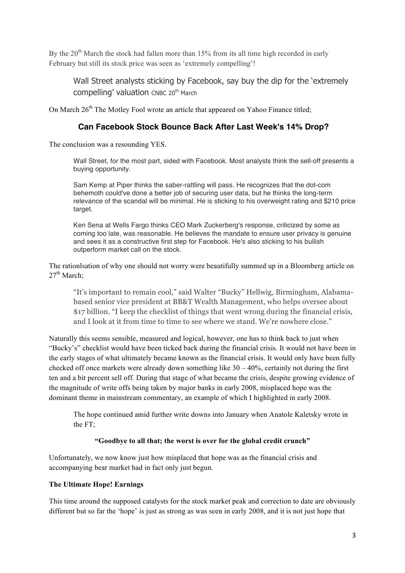By the  $20<sup>th</sup>$  March the stock had fallen more than 15% from its all time high recorded in early February but still its stock price was seen as 'extremely compelling'!

Wall Street analysts sticking by Facebook, say buy the dip for the 'extremely compelling' valuation CNBC 20<sup>th</sup> March

On March 26<sup>th</sup> The Motley Fool wrote an article that appeared on Yahoo Finance titled;

## **Can Facebook Stock Bounce Back After Last Week's 14% Drop?**

The conclusion was a resounding YES.

Wall Street, for the most part, sided with Facebook. Most analysts think the sell-off presents a buying opportunity.

Sam Kemp at Piper thinks the saber-rattling will pass. He recognizes that the dot-com behemoth could've done a better job of securing user data, but he thinks the long-term relevance of the scandal will be minimal. He is sticking to his overweight rating and \$210 price target.

Ken Sena at Wells Fargo thinks CEO Mark Zuckerberg's response, criticized by some as coming too late, was reasonable. He believes the mandate to ensure user privacy is genuine and sees it as a constructive first step for Facebook. He's also sticking to his bullish outperform market call on the stock.

The rationlsation of why one should not worry were beautifully summed up in a Bloomberg article on  $27^{\text{th}}$  March:

"It's important to remain cool," said Walter "Bucky" Hellwig, Birmingham, Alabamabased senior vice president at BB&T Wealth Management, who helps oversee about \$17 billion. "I keep the checklist of things that went wrong during the financial crisis, and I look at it from time to time to see where we stand. We're nowhere close."

Naturally this seems sensible, measured and logical, however, one has to think back to just when "Bucky's" checklist would have been ticked back during the financial crisis. It would not have been in the early stages of what ultimately became known as the financial crisis. It would only have been fully checked off once markets were already down something like  $30 - 40\%$ , certainly not during the first ten and a bit percent sell off. During that stage of what became the crisis, despite growing evidence of the magnitude of write offs being taken by major banks in early 2008, misplaced hope was the dominant theme in mainstream commentary, an example of which I highlighted in early 2008.

The hope continued amid further write downs into January when Anatole Kaletsky wrote in the  $FT<sup>+</sup>$ 

### **"Goodbye to all that; the worst is over for the global credit crunch"**

Unfortunately, we now know just how misplaced that hope was as the financial crisis and accompanying bear market had in fact only just begun.

### **The Ultimate Hope! Earnings**

This time around the supposed catalysts for the stock market peak and correction to date are obviously different but so far the 'hope' is just as strong as was seen in early 2008, and it is not just hope that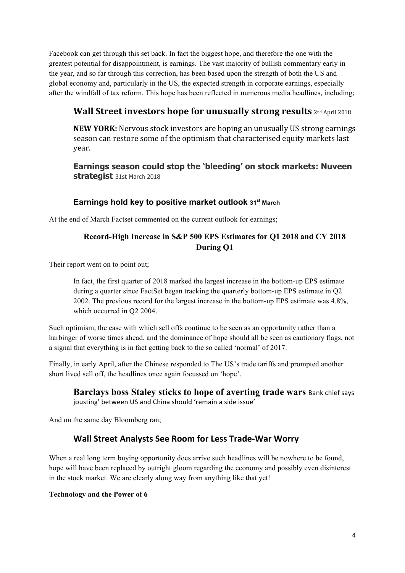Facebook can get through this set back. In fact the biggest hope, and therefore the one with the greatest potential for disappointment, is earnings. The vast majority of bullish commentary early in the year, and so far through this correction, has been based upon the strength of both the US and global economy and, particularly in the US, the expected strength in corporate earnings, especially after the windfall of tax reform. This hope has been reflected in numerous media headlines, including;

# **Wall Street investors hope for unusually strong results** 2nd April 2018

**NEW YORK:** Nervous stock investors are hoping an unusually US strong earnings season can restore some of the optimism that characterised equity markets last year.

**Earnings season could stop the 'bleeding' on stock markets: Nuveen strategist** 31st March 2018

### **Earnings hold key to positive market outlook 31st March**

At the end of March Factset commented on the current outlook for earnings;

## **Record-High Increase in S&P 500 EPS Estimates for Q1 2018 and CY 2018 During Q1**

Their report went on to point out;

In fact, the first quarter of 2018 marked the largest increase in the bottom-up EPS estimate during a quarter since FactSet began tracking the quarterly bottom-up EPS estimate in Q2 2002. The previous record for the largest increase in the bottom-up EPS estimate was 4.8%, which occurred in O<sub>2</sub> 2004.

Such optimism, the ease with which sell offs continue to be seen as an opportunity rather than a harbinger of worse times ahead, and the dominance of hope should all be seen as cautionary flags, not a signal that everything is in fact getting back to the so called 'normal' of 2017.

Finally, in early April, after the Chinese responded to The US's trade tariffs and prompted another short lived sell off, the headlines once again focussed on 'hope'.

**Barclays boss Staley sticks to hope of averting trade wars Bank chief says** jousting' between US and China should 'remain a side issue'

And on the same day Bloomberg ran;

## **Wall Street Analysts See Room for Less Trade-War Worry**

When a real long term buying opportunity does arrive such headlines will be nowhere to be found, hope will have been replaced by outright gloom regarding the economy and possibly even disinterest in the stock market. We are clearly along way from anything like that yet!

### **Technology and the Power of 6**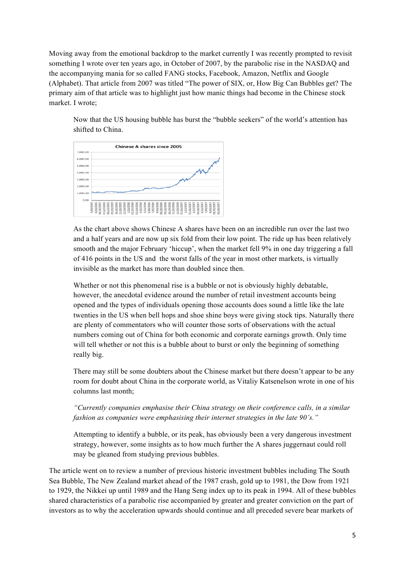Moving away from the emotional backdrop to the market currently I was recently prompted to revisit something I wrote over ten years ago, in October of 2007, by the parabolic rise in the NASDAQ and the accompanying mania for so called FANG stocks, Facebook, Amazon, Netflix and Google (Alphabet). That article from 2007 was titled "The power of SIX, or, How Big Can Bubbles get? The primary aim of that article was to highlight just how manic things had become in the Chinese stock market. I wrote;

Now that the US housing bubble has burst the "bubble seekers" of the world's attention has shifted to China.



As the chart above shows Chinese A shares have been on an incredible run over the last two and a half years and are now up six fold from their low point. The ride up has been relatively smooth and the major February 'hiccup', when the market fell 9% in one day triggering a fall of 416 points in the US and the worst falls of the year in most other markets, is virtually invisible as the market has more than doubled since then.

Whether or not this phenomenal rise is a bubble or not is obviously highly debatable, however, the anecdotal evidence around the number of retail investment accounts being opened and the types of individuals opening those accounts does sound a little like the late twenties in the US when bell hops and shoe shine boys were giving stock tips. Naturally there are plenty of commentators who will counter those sorts of observations with the actual numbers coming out of China for both economic and corporate earnings growth. Only time will tell whether or not this is a bubble about to burst or only the beginning of something really big.

There may still be some doubters about the Chinese market but there doesn't appear to be any room for doubt about China in the corporate world, as Vitaliy Katsenelson wrote in one of his columns last month;

### *"Currently companies emphasise their China strategy on their conference calls, in a similar fashion as companies were emphasising their internet strategies in the late 90's."*

Attempting to identify a bubble, or its peak, has obviously been a very dangerous investment strategy, however, some insights as to how much further the A shares juggernaut could roll may be gleaned from studying previous bubbles.

The article went on to review a number of previous historic investment bubbles including The South Sea Bubble, The New Zealand market ahead of the 1987 crash, gold up to 1981, the Dow from 1921 to 1929, the Nikkei up until 1989 and the Hang Seng index up to its peak in 1994. All of these bubbles shared characteristics of a parabolic rise accompanied by greater and greater conviction on the part of investors as to why the acceleration upwards should continue and all preceded severe bear markets of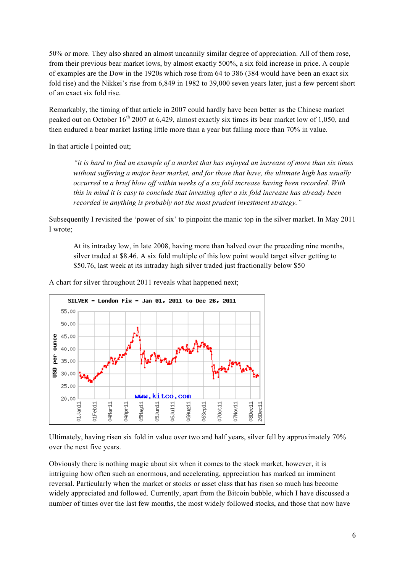50% or more. They also shared an almost uncannily similar degree of appreciation. All of them rose, from their previous bear market lows, by almost exactly 500%, a six fold increase in price. A couple of examples are the Dow in the 1920s which rose from 64 to 386 (384 would have been an exact six fold rise) and the Nikkei's rise from 6,849 in 1982 to 39,000 seven years later, just a few percent short of an exact six fold rise.

Remarkably, the timing of that article in 2007 could hardly have been better as the Chinese market peaked out on October  $16<sup>th</sup> 2007$  at 6,429, almost exactly six times its bear market low of 1,050, and then endured a bear market lasting little more than a year but falling more than 70% in value.

In that article I pointed out;

*"it is hard to find an example of a market that has enjoyed an increase of more than six times without suffering a major bear market, and for those that have, the ultimate high has usually occurred in a brief blow off within weeks of a six fold increase having been recorded. With this in mind it is easy to conclude that investing after a six fold increase has already been recorded in anything is probably not the most prudent investment strategy."* 

Subsequently I revisited the 'power of six' to pinpoint the manic top in the silver market. In May 2011 I wrote;

At its intraday low, in late 2008, having more than halved over the preceding nine months, silver traded at \$8.46. A six fold multiple of this low point would target silver getting to \$50.76, last week at its intraday high silver traded just fractionally below \$50

A chart for silver throughout 2011 reveals what happened next;



Ultimately, having risen six fold in value over two and half years, silver fell by approximately 70% over the next five years.

Obviously there is nothing magic about six when it comes to the stock market, however, it is intriguing how often such an enormous, and accelerating, appreciation has marked an imminent reversal. Particularly when the market or stocks or asset class that has risen so much has become widely appreciated and followed. Currently, apart from the Bitcoin bubble, which I have discussed a number of times over the last few months, the most widely followed stocks, and those that now have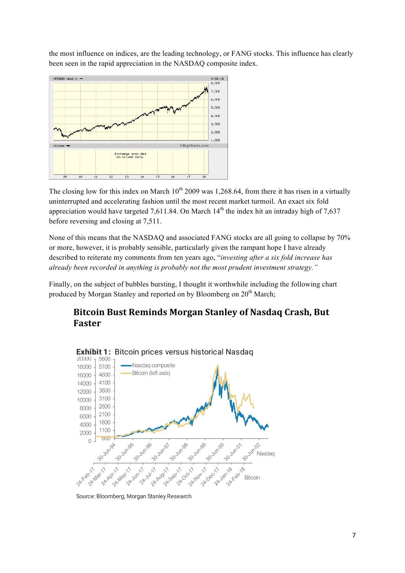the most influence on indices, are the leading technology, or FANG stocks. This influence has clearly been seen in the rapid appreciation in the NASDAQ composite index.



The closing low for this index on March  $10^{th}$  2009 was 1,268.64, from there it has risen in a virtually uninterrupted and accelerating fashion until the most recent market turmoil. An exact six fold appreciation would have targeted 7,611.84. On March  $14<sup>th</sup>$  the index hit an intraday high of 7,637 before reversing and closing at 7,511.

None of this means that the NASDAQ and associated FANG stocks are all going to collapse by 70% or more, however, it is probably sensible, particularly given the rampant hope I have already described to reiterate my comments from ten years ago, "*investing after a six fold increase has already been recorded in anything is probably not the most prudent investment strategy."* 

Finally, on the subject of bubbles bursting, I thought it worthwhile including the following chart produced by Morgan Stanley and reported on by Bloomberg on 20<sup>th</sup> March;

# **Bitcoin Bust Reminds Morgan Stanley of Nasdaq Crash, But Faster**



Source: Bloomberg, Morgan Stanley Research